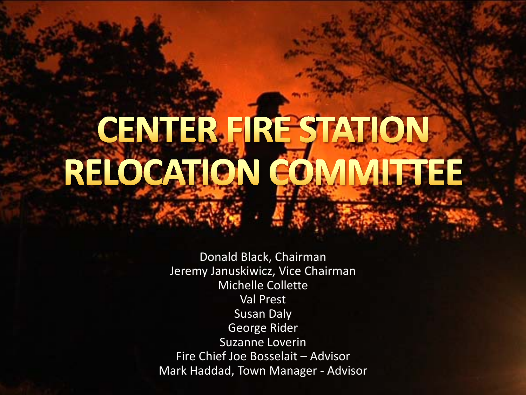# CENTER FIRE STATION RELOCATION COMMUTTEE

Donald Black, Chairman Jeremy Januskiwicz, Vice Chairman Michelle Collette Val Prest Susan Daly George Rider Suzanne Loverin Fire Chief Joe Bosselait – Advisor Mark Haddad, Town Manager - Advisor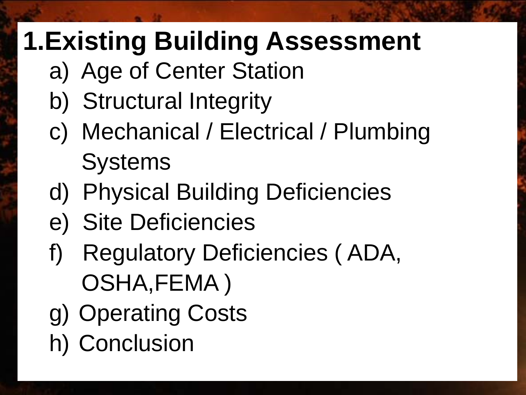## **1.Existing Building Assessment**

- a) Age of Center Station
- b) Structural Integrity
- c) Mechanical / Electrical / Plumbing **Systems**
- d) Physical Building Deficiencies
- e) Site Deficiencies
- f) Regulatory Deficiencies ( ADA, OSHA,FEMA )
- g) Operating Costs
- h) Conclusion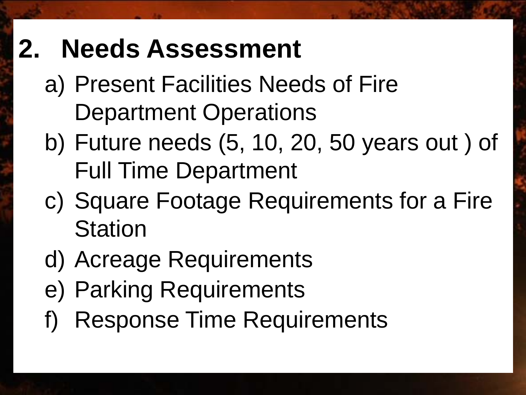#### **2. Needs Assessment**

- a) Present Facilities Needs of Fire Department Operations
- b) Future needs (5, 10, 20, 50 years out ) of Full Time Department
- c) Square Footage Requirements for a Fire **Station**
- d) Acreage Requirements
- e) Parking Requirements
- Response Time Requirements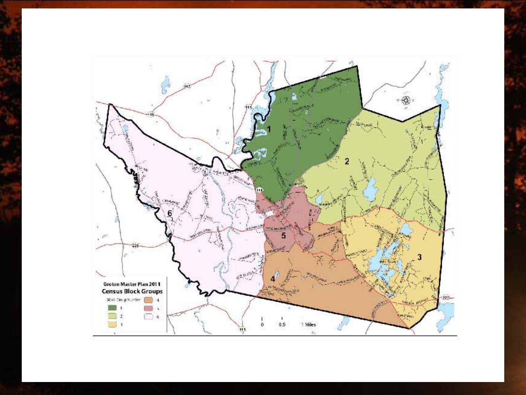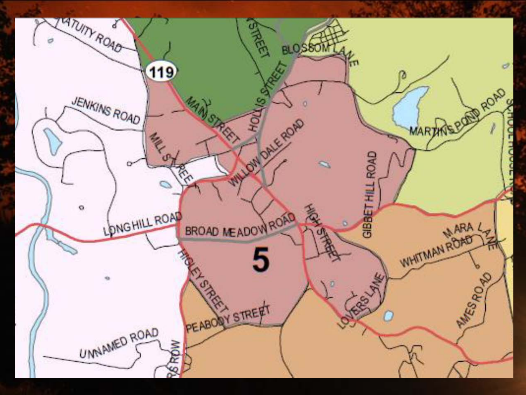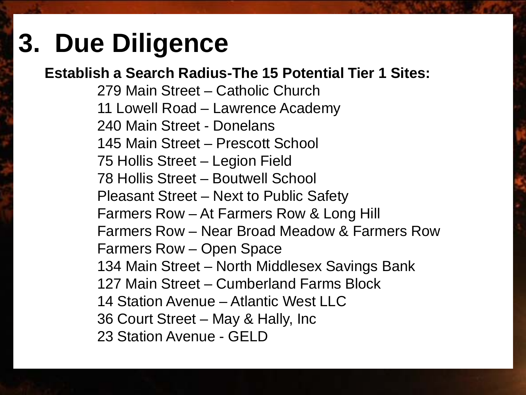#### **3. Due Diligence**

#### **Establish a Search Radius-The 15 Potential Tier 1 Sites:**

279 Main Street – Catholic Church 11 Lowell Road – Lawrence Academy 240 Main Street - Donelans 145 Main Street – Prescott School 75 Hollis Street – Legion Field 78 Hollis Street – Boutwell School Pleasant Street – Next to Public Safety Farmers Row – At Farmers Row & Long Hill Farmers Row – Near Broad Meadow & Farmers Row Farmers Row – Open Space 134 Main Street – North Middlesex Savings Bank 127 Main Street – Cumberland Farms Block 14 Station Avenue – Atlantic West LLC 36 Court Street – May & Hally, Inc 23 Station Avenue - GELD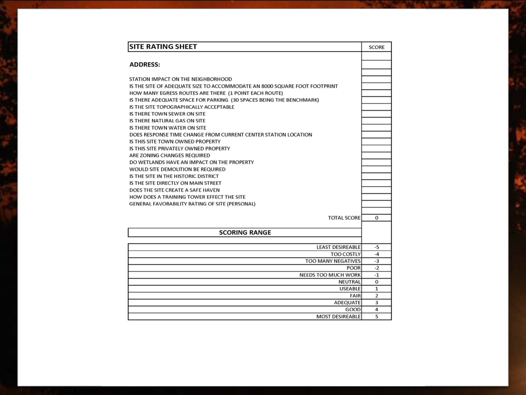| <b>SITE RATING SHEET</b>                                                    | <b>SCORE</b>   |
|-----------------------------------------------------------------------------|----------------|
|                                                                             |                |
| <b>ADDRESS:</b>                                                             |                |
|                                                                             |                |
| STATION IMPACT ON THE NEIGHBORHOOD                                          |                |
| IS THE SITE OF ADEQUATE SIZE TO ACCOMMODATE AN 8000 SQUARE FOOT FOOTPRINT   |                |
| HOW MANY EGRESS ROUTES ARE THERE (1 POINT EACH ROUTE)                       |                |
| IS THERE ADEQUATE SPACE FOR PARKING (30 SPACES BEING THE BENCHMARK)         |                |
| IS THE SITE TOPOGRAPHICALLY ACCEPTABLE                                      |                |
| IS THERE TOWN SEWER ON SITE                                                 |                |
| IS THERE NATURAL GAS ON SITE                                                |                |
| IS THERE TOWN WATER ON SITE                                                 |                |
| DOES RESPONSE TIME CHANGE FROM CURRENT CENTER STATION LOCATION              |                |
| IS THIS SITE TOWN OWNED PROPERTY                                            |                |
| IS THIS SITE PRIVATELY OWNED PROPERTY                                       |                |
| ARE ZONING CHANGES REQUIRED                                                 |                |
| DO WETLANDS HAVE AN IMPACT ON THE PROPERTY                                  |                |
| WOULD SITE DEMOLITION BE REQUIRED                                           |                |
| IS THE SITE IN THE HISTORIC DISTRICT<br>IS THE SITE DIRECTLY ON MAIN STREET |                |
| DOES THE SITE CREATE A SAFE HAVEN                                           |                |
| HOW DOES A TRAINING TOWER EFFECT THE SITE                                   |                |
| GENERAL FAVORABILITY RATING OF SITE (PERSONAL)                              |                |
|                                                                             |                |
| <b>TOTAL SCORE</b>                                                          | $\Omega$       |
|                                                                             |                |
| <b>SCORING RANGE</b>                                                        |                |
|                                                                             |                |
| <b>LEAST DESIREABLE</b>                                                     | $-5$           |
| <b>TOO COSTLY</b>                                                           | $-4$           |
| <b>TOO MANY NEGATIVES</b>                                                   | $-3$           |
| <b>POOR</b>                                                                 | $-2$           |
| <b>NEEDS TOO MUCH WORK</b>                                                  | $-1$           |
| <b>NEUTRAL</b>                                                              | $\Omega$       |
| <b>USEABLE</b>                                                              | $\mathbf{1}$   |
| <b>FAIR</b>                                                                 | 2              |
| <b>ADEQUATE</b>                                                             | 3              |
| GOOD                                                                        | $\overline{4}$ |
| <b>MOST DESIREABLE</b>                                                      | 5              |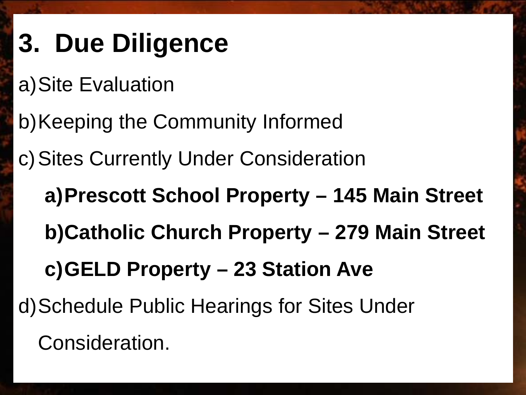### **3. Due Diligence**

a)Site Evaluation

b)Keeping the Community Informed

c)Sites Currently Under Consideration

**a)Prescott School Property – 145 Main Street b)Catholic Church Property – 279 Main Street c)GELD Property – 23 Station Ave**

d)Schedule Public Hearings for Sites Under

Consideration.